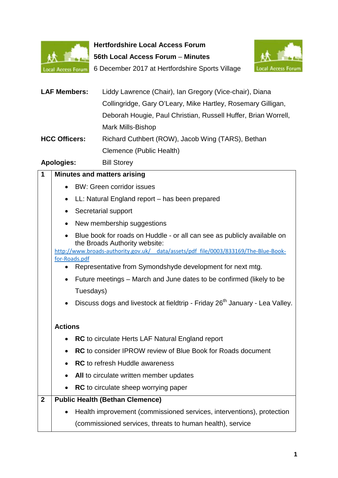

**Hertfordshire Local Access Forum 56th Local Access Forum** – **Minutes** 6 December 2017 at Hertfordshire Sports Village



| <b>LAF Members:</b>  | Liddy Lawrence (Chair), Ian Gregory (Vice-chair), Diana        |
|----------------------|----------------------------------------------------------------|
|                      | Collingridge, Gary O'Leary, Mike Hartley, Rosemary Gilligan,   |
|                      | Deborah Hougie, Paul Christian, Russell Huffer, Brian Worrell, |
|                      | <b>Mark Mills-Bishop</b>                                       |
| <b>HCC Officers:</b> | Richard Cuthbert (ROW), Jacob Wing (TARS), Bethan              |
|                      | Clemence (Public Health)                                       |
| A I                  | <b>DUI OLLAND</b>                                              |

## **Apologies:** Bill Storey

| 1            | <b>Minutes and matters arising</b>                                                                   |                                                                                                          |  |
|--------------|------------------------------------------------------------------------------------------------------|----------------------------------------------------------------------------------------------------------|--|
|              | $\bullet$                                                                                            | <b>BW: Green corridor issues</b>                                                                         |  |
|              | $\bullet$                                                                                            | LL: Natural England report - has been prepared                                                           |  |
|              | $\bullet$                                                                                            | Secretarial support                                                                                      |  |
|              | $\bullet$                                                                                            | New membership suggestions                                                                               |  |
|              |                                                                                                      | Blue book for roads on Huddle - or all can see as publicly available on<br>the Broads Authority website: |  |
|              | http://www.broads-authority.gov.uk/ data/assets/pdf file/0003/833169/The-Blue-Book-<br>for-Roads.pdf |                                                                                                          |  |
|              | $\bullet$                                                                                            | Representative from Symondshyde development for next mtg.                                                |  |
|              | $\bullet$                                                                                            | Future meetings – March and June dates to be confirmed (likely to be                                     |  |
|              |                                                                                                      | Tuesdays)                                                                                                |  |
|              |                                                                                                      | Discuss dogs and livestock at fieldtrip - Friday 26 <sup>th</sup> January - Lea Valley.                  |  |
|              | <b>Actions</b>                                                                                       |                                                                                                          |  |
|              |                                                                                                      | <b>RC</b> to circulate Herts LAF Natural England report                                                  |  |
|              | $\bullet$                                                                                            | <b>RC</b> to consider IPROW review of Blue Book for Roads document                                       |  |
|              | $\bullet$                                                                                            | <b>RC</b> to refresh Huddle awareness                                                                    |  |
|              | $\bullet$                                                                                            | All to circulate written member updates                                                                  |  |
|              |                                                                                                      | <b>RC</b> to circulate sheep worrying paper                                                              |  |
| $\mathbf{2}$ | <b>Public Health (Bethan Clemence)</b>                                                               |                                                                                                          |  |
|              |                                                                                                      | Health improvement (commissioned services, interventions), protection                                    |  |
|              |                                                                                                      | (commissioned services, threats to human health), service                                                |  |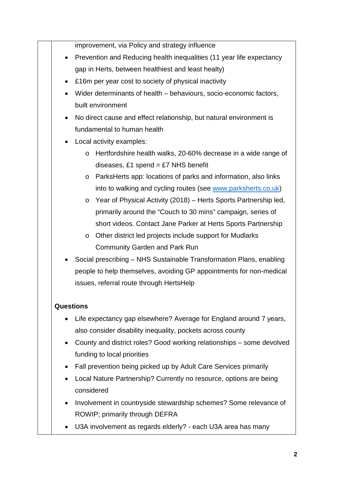improvement, via Policy and strategy influence

- Prevention and Reducing health inequalities (11 year life expectancy gap in Herts, between healthiest and least healty)
- £16m per year cost to society of physical inactivity
- Wider determinants of health behaviours, socio-economic factors, built environment
- No direct cause and effect relationship, but natural environment is fundamental to human health
- Local activity examples:
	- o Hertfordshire health walks, 20-60% decrease in a wide range of diseases, £1 spend =  $£7$  NHS benefit
	- o ParksHerts app: locations of parks and information, also links into to walking and cycling routes (see www.parksherts.co.uk)
	- o Year of Physical Activity (2018) Herts Sports Partnership led, primarily around the "Couch to 30 mins" campaign, series of short videos. Contact Jane Parker at Herts Sports Partnership
	- o Other district led projects include support for Mudlarks Community Garden and Park Run
- Social prescribing NHS Sustainable Transformation Plans, enabling people to help themselves, avoiding GP appointments for non-medical issues, referral route through HertsHelp

## **Questions**

- Life expectancy gap elsewhere? Average for England around 7 years, also consider disability inequality, pockets across county
- County and district roles? Good working relationships some devolved funding to local priorities
- Fall prevention being picked up by Adult Care Services primarily
- Local Nature Partnership? Currently no resource, options are being considered
- Involvement in countryside stewardship schemes? Some relevance of ROWIP; primarily through DEFRA
- U3A involvement as regards elderly? each U3A area has many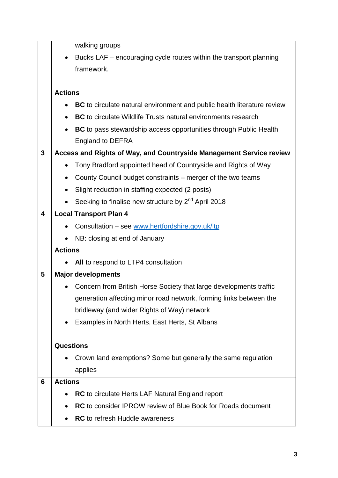|   |                                                                     | walking groups                                                                 |
|---|---------------------------------------------------------------------|--------------------------------------------------------------------------------|
|   |                                                                     | Bucks LAF - encouraging cycle routes within the transport planning             |
|   |                                                                     | framework.                                                                     |
|   |                                                                     |                                                                                |
|   | <b>Actions</b>                                                      |                                                                                |
|   |                                                                     | <b>BC</b> to circulate natural environment and public health literature review |
|   | $\bullet$                                                           | <b>BC</b> to circulate Wildlife Trusts natural environments research           |
|   | $\bullet$                                                           | <b>BC</b> to pass stewardship access opportunities through Public Health       |
|   |                                                                     | <b>England to DEFRA</b>                                                        |
| 3 | Access and Rights of Way, and Countryside Management Service review |                                                                                |
|   |                                                                     | Tony Bradford appointed head of Countryside and Rights of Way                  |
|   | ٠                                                                   | County Council budget constraints – merger of the two teams                    |
|   |                                                                     | Slight reduction in staffing expected (2 posts)                                |
|   |                                                                     | Seeking to finalise new structure by 2 <sup>nd</sup> April 2018                |
| 4 |                                                                     | <b>Local Transport Plan 4</b>                                                  |
|   |                                                                     | Consultation - see www.hertfordshire.gov.uk/ltp                                |
|   | ٠                                                                   | NB: closing at end of January                                                  |
|   | <b>Actions</b>                                                      |                                                                                |
|   |                                                                     | All to respond to LTP4 consultation                                            |
| 5 |                                                                     | <b>Major developments</b>                                                      |
|   |                                                                     | Concern from British Horse Society that large developments traffic             |
|   |                                                                     | generation affecting minor road network, forming links between the             |
|   |                                                                     | bridleway (and wider Rights of Way) network                                    |
|   |                                                                     | Examples in North Herts, East Herts, St Albans                                 |
|   |                                                                     |                                                                                |
|   | <b>Questions</b>                                                    |                                                                                |
|   |                                                                     | Crown land exemptions? Some but generally the same regulation                  |
|   |                                                                     | applies                                                                        |
| 6 | <b>Actions</b>                                                      |                                                                                |
|   |                                                                     | <b>RC</b> to circulate Herts LAF Natural England report                        |
|   | $\bullet$                                                           | RC to consider IPROW review of Blue Book for Roads document                    |
|   |                                                                     | <b>RC</b> to refresh Huddle awareness                                          |